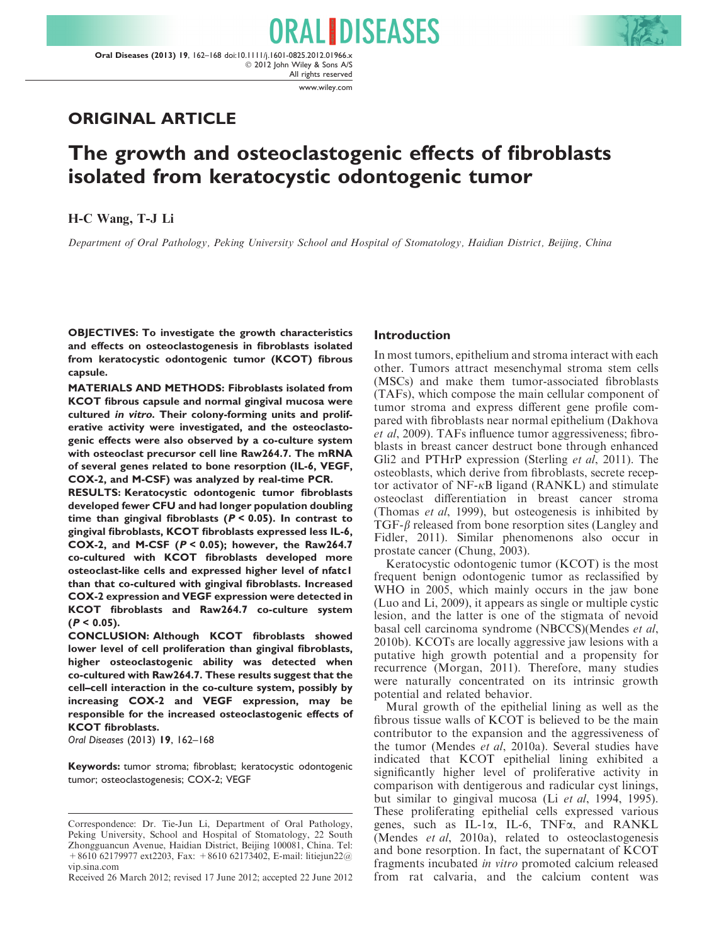www.wiley.com

# ORIGINAL ARTICLE

# The growth and osteoclastogenic effects of fibroblasts isolated from keratocystic odontogenic tumor

ORALIDISEASES

H-C Wang, T-J Li

Department of Oral Pathology, Peking University School and Hospital of Stomatology, Haidian District, Beijing, China

OBJECTIVES: To investigate the growth characteristics and effects on osteoclastogenesis in fibroblasts isolated from keratocystic odontogenic tumor (KCOT) fibrous capsule.

MATERIALS AND METHODS: Fibroblasts isolated from KCOT fibrous capsule and normal gingival mucosa were cultured in vitro. Their colony-forming units and proliferative activity were investigated, and the osteoclastogenic effects were also observed by a co-culture system with osteoclast precursor cell line Raw264.7. The mRNA of several genes related to bone resorption (IL-6, VEGF, COX-2, and M-CSF) was analyzed by real-time PCR.

RESULTS: Keratocystic odontogenic tumor fibroblasts developed fewer CFU and had longer population doubling time than gingival fibroblasts ( $P < 0.05$ ). In contrast to gingival fibroblasts, KCOT fibroblasts expressed less IL-6, COX-2, and M-CSF  $(P < 0.05)$ ; however, the Raw264.7 co-cultured with KCOT fibroblasts developed more osteoclast-like cells and expressed higher level of nfatc1 than that co-cultured with gingival fibroblasts. Increased COX-2 expression and VEGF expression were detected in KCOT fibroblasts and Raw264.7 co-culture system  $(P < 0.05)$ .

CONCLUSION: Although KCOT fibroblasts showed lower level of cell proliferation than gingival fibroblasts, higher osteoclastogenic ability was detected when co-cultured with Raw264.7. These results suggest that the cell–cell interaction in the co-culture system, possibly by increasing COX-2 and VEGF expression, may be responsible for the increased osteoclastogenic effects of KCOT fibroblasts.

Oral Diseases (2013) 19, 162–168

Keywords: tumor stroma; fibroblast; keratocystic odontogenic tumor; osteoclastogenesis; COX-2; VEGF

## Introduction

In most tumors, epithelium and stroma interact with each other. Tumors attract mesenchymal stroma stem cells (MSCs) and make them tumor-associated fibroblasts (TAFs), which compose the main cellular component of tumor stroma and express different gene profile compared with fibroblasts near normal epithelium (Dakhova et al, 2009). TAFs influence tumor aggressiveness; fibroblasts in breast cancer destruct bone through enhanced Gli2 and PTHrP expression (Sterling et al, 2011). The osteoblasts, which derive from fibroblasts, secrete receptor activator of  $NF-\kappa B$  ligand (RANKL) and stimulate osteoclast differentiation in breast cancer stroma (Thomas et al, 1999), but osteogenesis is inhibited by  $TGF-\beta$  released from bone resorption sites (Langley and Fidler, 2011). Similar phenomenons also occur in prostate cancer (Chung, 2003).

Keratocystic odontogenic tumor (KCOT) is the most frequent benign odontogenic tumor as reclassified by WHO in 2005, which mainly occurs in the jaw bone (Luo and Li, 2009), it appears as single or multiple cystic lesion, and the latter is one of the stigmata of nevoid basal cell carcinoma syndrome (NBCCS)(Mendes et al, 2010b). KCOTs are locally aggressive jaw lesions with a putative high growth potential and a propensity for recurrence (Morgan, 2011). Therefore, many studies were naturally concentrated on its intrinsic growth potential and related behavior.

Mural growth of the epithelial lining as well as the fibrous tissue walls of KCOT is believed to be the main contributor to the expansion and the aggressiveness of the tumor (Mendes et al, 2010a). Several studies have indicated that KCOT epithelial lining exhibited a significantly higher level of proliferative activity in comparison with dentigerous and radicular cyst linings, but similar to gingival mucosa (Li et al, 1994, 1995). These proliferating epithelial cells expressed various genes, such as IL-1a, IL-6, TNFa, and RANKL (Mendes et al, 2010a), related to osteoclastogenesis and bone resorption. In fact, the supernatant of KCOT fragments incubated in vitro promoted calcium released from rat calvaria, and the calcium content was

Correspondence: Dr. Tie-Jun Li, Department of Oral Pathology, Peking University, School and Hospital of Stomatology, 22 South Zhongguancun Avenue, Haidian District, Beijing 100081, China. Tel: +8610 62179977 ext2203, Fax: +8610 62173402, E-mail: litiejun22@ vip.sina.com

Received 26 March 2012; revised 17 June 2012; accepted 22 June 2012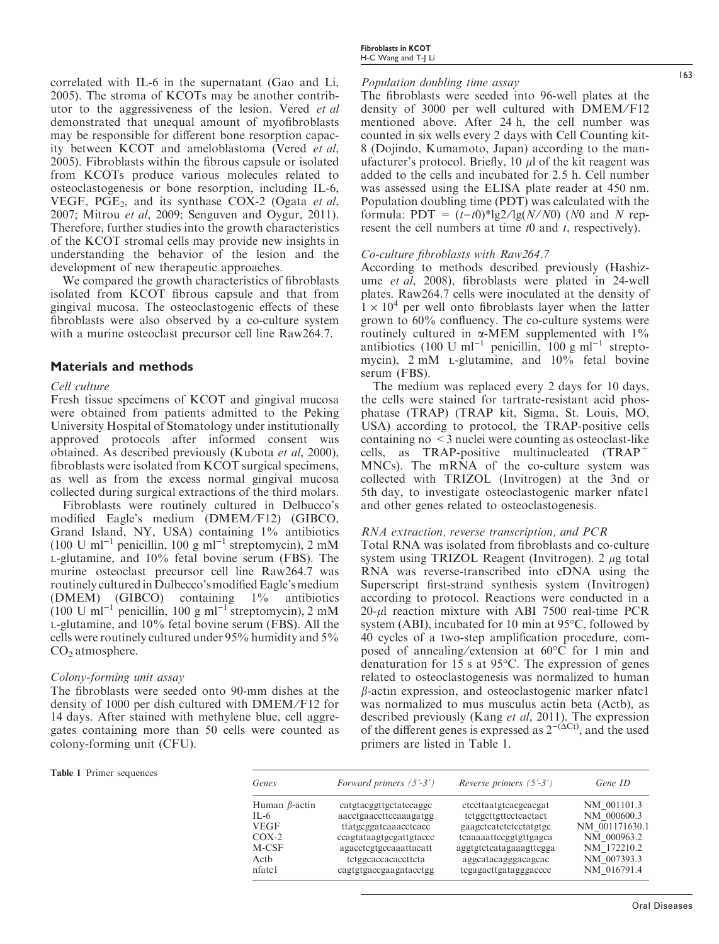correlated with IL-6 in the supernatant (Gao and Li, 2005). The stroma of KCOTs may be another contributor to the aggressiveness of the lesion. Vered et al demonstrated that unequal amount of myofibroblasts may be responsible for different bone resorption capacity between KCOT and ameloblastoma (Vered et al, 2005). Fibroblasts within the fibrous capsule or isolated from KCOTs produce various molecules related to osteoclastogenesis or bone resorption, including IL-6, VEGF,  $PGE_2$ , and its synthase COX-2 (Ogata et al, 2007; Mitrou et al, 2009; Senguven and Oygur, 2011). Therefore, further studies into the growth characteristics of the KCOT stromal cells may provide new insights in understanding the behavior of the lesion and the development of new therapeutic approaches.

We compared the growth characteristics of fibroblasts isolated from KCOT fibrous capsule and that from gingival mucosa. The osteoclastogenic effects of these fibroblasts were also observed by a co-culture system with a murine osteoclast precursor cell line Raw264.7.

### Materials and methods

#### Cell culture

Fresh tissue specimens of KCOT and gingival mucosa were obtained from patients admitted to the Peking University Hospital of Stomatology under institutionally approved protocols after informed consent was obtained. As described previously (Kubota et al, 2000), fibroblasts were isolated from KCOT surgical specimens, as well as from the excess normal gingival mucosa collected during surgical extractions of the third molars.

Fibroblasts were routinely cultured in Delbucco's modified Eagle's medium (DMEM/F12) (GIBCO, Grand Island, NY, USA) containing 1% antibiotics (100 U ml<sup>-1</sup> penicillin, 100 g ml<sup>-1</sup> streptomycin), 2 mM L-glutamine, and 10% fetal bovine serum (FBS). The murine osteoclast precursor cell line Raw264.7 was routinely cultured in Dulbecco'smodified Eagle's medium (DMEM) (GIBCO) containing 1% antibiotics  $(100 \text{ U m}^{-1} \text{ penicillin}, 100 \text{ g m}^{-1} \text{ streptomycin}), 2 \text{ mM}^{-1}$ L-glutamine, and 10% fetal bovine serum (FBS). All the cells were routinely cultured under 95% humidity and 5%  $CO<sub>2</sub>$  atmosphere.

#### Colony-forming unit assay

The fibroblasts were seeded onto 90-mm dishes at the density of 1000 per dish cultured with DMEM/F12 for 14 days. After stained with methylene blue, cell aggregates containing more than 50 cells were counted as colony-forming unit (CFU).

#### Population doubling time assay

The fibroblasts were seeded into 96-well plates at the density of 3000 per well cultured with DMEM/F12 mentioned above. After 24 h, the cell number was counted in six wells every 2 days with Cell Counting kit-8 (Dojindo, Kumamoto, Japan) according to the manufacturer's protocol. Briefly, 10  $\mu$ l of the kit reagent was added to the cells and incubated for 2.5 h. Cell number was assessed using the ELISA plate reader at 450 nm. Population doubling time (PDT) was calculated with the formula:  $PDT = (t-t0)^*lg2/lg(N/NO)$  (N0 and N represent the cell numbers at time  $t0$  and  $t$ , respectively).

#### Co-culture fibroblasts with Raw264.7

According to methods described previously (Hashizume et al, 2008), fibroblasts were plated in 24-well plates. Raw264.7 cells were inoculated at the density of  $1 \times 10^4$  per well onto fibroblasts layer when the latter grown to 60% confluency. The co-culture systems were routinely cultured in  $\alpha$ -MEM supplemented with  $1\%$ antibiotics  $(100 \text{ U m}^{-1})$  penicillin,  $100 \text{ g m}^{-1}$  streptomycin), 2 mM L-glutamine, and 10% fetal bovine serum (FBS).

The medium was replaced every 2 days for 10 days, the cells were stained for tartrate-resistant acid phosphatase (TRAP) (TRAP kit, Sigma, St. Louis, MO, USA) according to protocol, the TRAP-positive cells containing no <3 nuclei were counting as osteoclast-like cells, as TRAP-positive multinucleated (TRAP<sup>-</sup> MNCs). The mRNA of the co-culture system was collected with TRIZOL (Invitrogen) at the 3nd or 5th day, to investigate osteoclastogenic marker nfatc1 and other genes related to osteoclastogenesis.

#### RNA extraction, reverse transcription, and PCR

Total RNA was isolated from fibroblasts and co-culture system using TRIZOL Reagent (Invitrogen).  $2 \mu$ g total RNA was reverse-transcribed into cDNA using the Superscript first-strand synthesis system (Invitrogen) according to protocol. Reactions were conducted in a  $20$ - $\mu$ l reaction mixture with ABI 7500 real-time PCR system (ABI), incubated for 10 min at  $95^{\circ}$ C, followed by 40 cycles of a two-step amplification procedure, composed of annealing/extension at  $60^{\circ}$ C for 1 min and denaturation for 15 s at  $95^{\circ}$ C. The expression of genes related to osteoclastogenesis was normalized to human  $\beta$ -actin expression, and osteoclastogenic marker nfatcl was normalized to mus musculus actin beta (Actb), as described previously (Kang et al, 2011). The expression of the different genes is expressed as  $2^{-(\Delta Ct)}$ , and the used primers are listed in Table 1.

#### Table 1 Primer sequences

| Genes                | Forward primers $(5'$ -3') | Reverse primers $(5'$ -3') | Gene ID        |
|----------------------|----------------------------|----------------------------|----------------|
| Human $\beta$ -actin | catgtacggttgctatccaggc     | ctccttaatgtcacgcacgat      | NM 001101.3    |
| IL-6                 | aacctgaaccttccaaagatgg     | tetggettgtteeteactact      | NM 000600.3    |
| <b>VEGF</b>          | ttatgcggatcaaacctcacc      | gaagctcatctctcctatgtgc     | NM 001171630.1 |
| $COX-2$              | ccagtataagtgcgattgtaccc    | tcaaaaattccggtgttgagca     | NM 000963.2    |
| M-CSF                | agacctcgtgccaaattacatt     | aggtgtctcatagaaagttcgga    | NM 172210.2    |
| Actb                 | tetggcaccacacetteta        | aggcatacagggacagcac        | NM 007393.3    |
| nfatcl               | cagtgtgaccgaagatacctgg     | tegagaettgatagggaecee      | NM 016791.4    |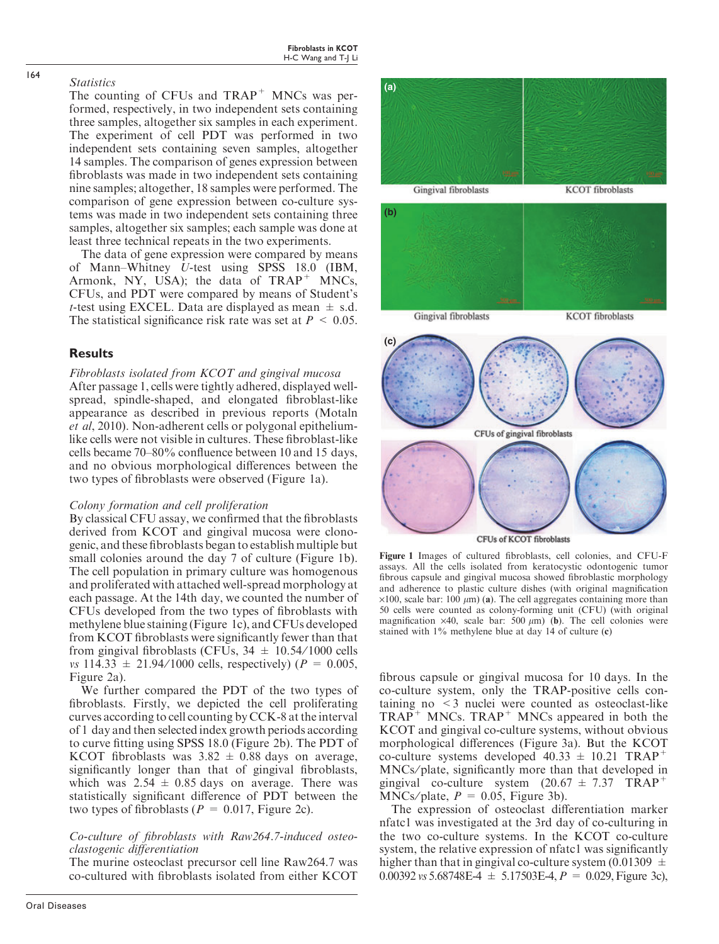## **Statistics**

The counting of CFUs and  $TRAP^+$  MNCs was performed, respectively, in two independent sets containing three samples, altogether six samples in each experiment. The experiment of cell PDT was performed in two independent sets containing seven samples, altogether 14 samples. The comparison of genes expression between fibroblasts was made in two independent sets containing nine samples; altogether, 18 samples were performed. The comparison of gene expression between co-culture systems was made in two independent sets containing three samples, altogether six samples; each sample was done at least three technical repeats in the two experiments.

The data of gene expression were compared by means of Mann–Whitney U-test using SPSS 18.0 (IBM, Armonk, NY, USA); the data of  $TRAP^+$  MNCs, CFUs, and PDT were compared by means of Student's t-test using EXCEL. Data are displayed as mean  $\pm$  s.d. The statistical significance risk rate was set at  $P \leq 0.05$ .

# Results

# Fibroblasts isolated from KCOT and gingival mucosa

After passage 1, cells were tightly adhered, displayed wellspread, spindle-shaped, and elongated fibroblast-like appearance as described in previous reports (Motaln et al, 2010). Non-adherent cells or polygonal epitheliumlike cells were not visible in cultures. These fibroblast-like cells became 70–80% confluence between 10 and 15 days, and no obvious morphological differences between the two types of fibroblasts were observed (Figure 1a).

### Colony formation and cell proliferation

By classical CFU assay, we confirmed that the fibroblasts derived from KCOT and gingival mucosa were clonogenic, and these fibroblasts began to establish multiple but small colonies around the day 7 of culture (Figure 1b). The cell population in primary culture was homogenous and proliferated with attached well-spread morphology at each passage. At the 14th day, we counted the number of CFUs developed from the two types of fibroblasts with methylene blue staining (Figure 1c), and CFUs developed from KCOT fibroblasts were significantly fewer than that from gingival fibroblasts (CFUs,  $34 \pm 10.54/1000$  cells vs 114.33  $\pm$  21.94/1000 cells, respectively) ( $P = 0.005$ , Figure 2a).

We further compared the PDT of the two types of fibroblasts. Firstly, we depicted the cell proliferating curves according to cell counting by CCK-8 at the interval of 1 day and then selected index growth periods according to curve fitting using SPSS 18.0 (Figure 2b). The PDT of KCOT fibroblasts was  $3.82 \pm 0.88$  days on average, significantly longer than that of gingival fibroblasts, which was  $2.54 \pm 0.85$  days on average. There was statistically significant difference of PDT between the two types of fibroblasts ( $P = 0.017$ , Figure 2c).

# Co-culture of fibroblasts with Raw264.7-induced osteoclastogenic differentiation

The murine osteoclast precursor cell line Raw264.7 was co-cultured with fibroblasts isolated from either KCOT



assays. All the cells isolated from keratocystic odontogenic tumor fibrous capsule and gingival mucosa showed fibroblastic morphology and adherence to plastic culture dishes (with original magnification  $\times$ 100, scale bar: 100  $\mu$ m) (a). The cell aggregates containing more than 50 cells were counted as colony-forming unit (CFU) (with original magnification  $\times$ 40, scale bar: 500  $\mu$ m) (b). The cell colonies were stained with 1% methylene blue at day 14 of culture (c)

fibrous capsule or gingival mucosa for 10 days. In the co-culture system, only the TRAP-positive cells containing no <3 nuclei were counted as osteoclast-like  $TRAP^+$  MNCs.  $TRAP^+$  MNCs appeared in both the KCOT and gingival co-culture systems, without obvious morphological differences (Figure 3a). But the KCOT co-culture systems developed  $40.33 \pm 10.21$  TRAP<sup>+</sup> MNCs⁄ plate, significantly more than that developed in gingival co-culture system  $(20.67 \pm 7.37 \text{ TRAP}^+)$ MNCs/plate,  $P = 0.05$ , Figure 3b).

The expression of osteoclast differentiation marker nfatc1 was investigated at the 3rd day of co-culturing in the two co-culture systems. In the KCOT co-culture system, the relative expression of nfatc1 was significantly higher than that in gingival co-culture system (0.01309  $\pm$ 0.00392 vs 5.68748E-4  $\pm$  5.17503E-4,  $P = 0.029$ , Figure 3c),

164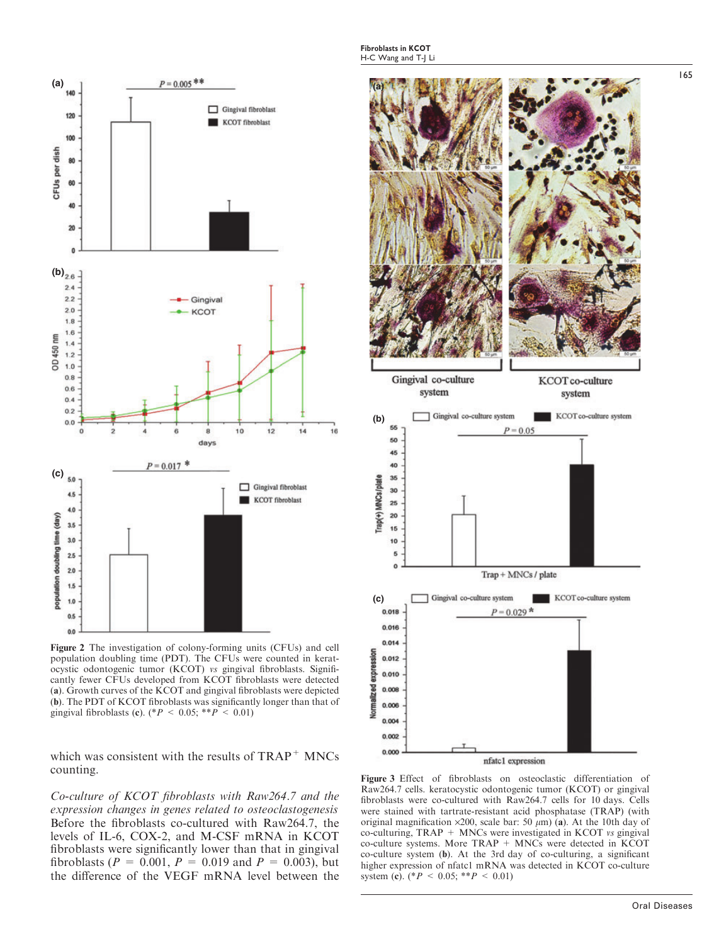

Figure 2 The investigation of colony-forming units (CFUs) and cell population doubling time (PDT). The CFUs were counted in keratocystic odontogenic tumor (KCOT) vs gingival fibroblasts. Significantly fewer CFUs developed from KCOT fibroblasts were detected (a). Growth curves of the KCOT and gingival fibroblasts were depicted (b). The PDT of KCOT fibroblasts was significantly longer than that of gingival fibroblasts (c). (\* $P < 0.05$ ; \*\* $P < 0.01$ )

which was consistent with the results of  $TRAP<sup>+</sup>$  MNCs counting.

Co-culture of KCOT fibroblasts with Raw264.7 and the expression changes in genes related to osteoclastogenesis Before the fibroblasts co-cultured with Raw264.7, the levels of IL-6, COX-2, and M-CSF mRNA in KCOT fibroblasts were significantly lower than that in gingival fibroblasts ( $P = 0.001$ ,  $P = 0.019$  and  $P = 0.003$ ), but the difference of the VEGF mRNA level between the



Figure 3 Effect of fibroblasts on osteoclastic differentiation of Raw264.7 cells. keratocystic odontogenic tumor (KCOT) or gingival fibroblasts were co-cultured with Raw264.7 cells for 10 days. Cells were stained with tartrate-resistant acid phosphatase (TRAP) (with original magnification  $\times 200$ , scale bar: 50  $\mu$ m) (a). At the 10th day of co-culturing, TRAP + MNCs were investigated in KCOT vs gingival co-culture systems. More TRAP + MNCs were detected in KCOT co-culture system (b). At the 3rd day of co-culturing, a significant higher expression of nfatc1 mRNA was detected in KCOT co-culture system (c).  $({^*}P < 0.05; {^*}P < 0.01)$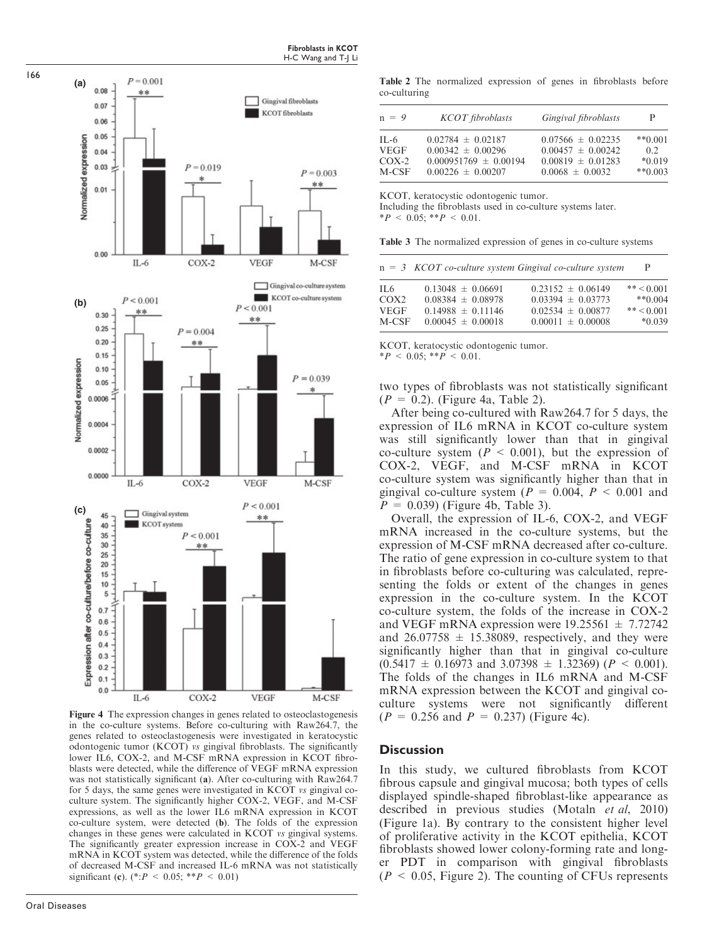

Figure 4 The expression changes in genes related to osteoclastogenesis in the co-culture systems. Before co-culturing with Raw264.7, the genes related to osteoclastogenesis were investigated in keratocystic odontogenic tumor (KCOT) vs gingival fibroblasts. The significantly lower IL6, COX-2, and M-CSF mRNA expression in KCOT fibroblasts were detected, while the difference of VEGF mRNA expression was not statistically significant (a). After co-culturing with Raw264.7 for 5 days, the same genes were investigated in KCOT vs gingival coculture system. The significantly higher COX-2, VEGF, and M-CSF expressions, as well as the lower IL6 mRNA expression in KCOT co-culture system, were detected (b). The folds of the expression changes in these genes were calculated in KCOT vs gingival systems. The significantly greater expression increase in COX-2 and VEGF mRNA in KCOT system was detected, while the difference of the folds of decreased M-CSF and increased IL-6 mRNA was not statistically significant (c). (\*: $P < 0.05$ ; \*\* $P < 0.01$ )

166

Table 2 The normalized expression of genes in fibroblasts before co-culturing

| $n = 9$     | <b>KCOT</b> fibroblasts   | Gingival fibroblasts  | P         |
|-------------|---------------------------|-----------------------|-----------|
| $IL-6$      | $0.02784 \pm 0.02187$     | $0.07566 \pm 0.02235$ | $**0.001$ |
| <b>VEGF</b> | $0.00342 \pm 0.00296$     | $0.00457 \pm 0.00242$ | 0.2       |
| $COX-2$     | $0.000951769 \pm 0.00194$ | $0.00819 \pm 0.01283$ | $*0.019$  |
| M-CSF       | $0.00226 \pm 0.00207$     | $0.0068 \pm 0.0032$   | $**0.003$ |

KCOT, keratocystic odontogenic tumor.

Fibroblasts in KCOT

Including the fibroblasts used in co-culture systems later.  $*P < 0.05; **P < 0.01$ .

Table 3 The normalized expression of genes in co-culture systems

|             | $n = 3$ KCOT co-culture system Gingival co-culture system |                       | P            |
|-------------|-----------------------------------------------------------|-----------------------|--------------|
| IL 6        | $0.13048 \pm 0.06691$                                     | $0.23152 \pm 0.06149$ | $** < 0.001$ |
| COX2        | $0.08384 \pm 0.08978$                                     | $0.03394 \pm 0.03773$ | $*$ 0.004    |
| <b>VEGF</b> | $0.14988 \pm 0.11146$                                     | $0.02534 \pm 0.00877$ | $** < 0.001$ |
| M-CSF       | $0.00045 \pm 0.00018$                                     | $0.00011 \pm 0.00008$ | $*0.039$     |

KCOT, keratocystic odontogenic tumor.  $*P < 0.05; **P < 0.01.$ 

two types of fibroblasts was not statistically significant  $(P = 0.2)$ . (Figure 4a, Table 2).

After being co-cultured with Raw264.7 for 5 days, the expression of IL6 mRNA in KCOT co-culture system was still significantly lower than that in gingival co-culture system  $(P < 0.001)$ , but the expression of COX-2, VEGF, and M-CSF mRNA in KCOT co-culture system was significantly higher than that in gingival co-culture system ( $P = 0.004$ ,  $P < 0.001$  and  $P = 0.039$  (Figure 4b, Table 3).

Overall, the expression of IL-6, COX-2, and VEGF mRNA increased in the co-culture systems, but the expression of M-CSF mRNA decreased after co-culture. The ratio of gene expression in co-culture system to that in fibroblasts before co-culturing was calculated, representing the folds or extent of the changes in genes expression in the co-culture system. In the KCOT co-culture system, the folds of the increase in COX-2 and VEGF mRNA expression were  $19.25561 \pm 7.72742$ and  $26.07758 \pm 15.38089$ , respectively, and they were significantly higher than that in gingival co-culture  $(0.5417 \pm 0.16973 \text{ and } 3.07398 \pm 1.32369)$  ( $P < 0.001$ ). The folds of the changes in IL6 mRNA and M-CSF mRNA expression between the KCOT and gingival coculture systems were not significantly different  $(P = 0.256$  and  $P = 0.237)$  (Figure 4c).

## **Discussion**

In this study, we cultured fibroblasts from KCOT fibrous capsule and gingival mucosa; both types of cells displayed spindle-shaped fibroblast-like appearance as described in previous studies (Motaln et al, 2010) (Figure 1a). By contrary to the consistent higher level of proliferative activity in the KCOT epithelia, KCOT fibroblasts showed lower colony-forming rate and longer PDT in comparison with gingival fibroblasts  $(P < 0.05,$  Figure 2). The counting of CFUs represents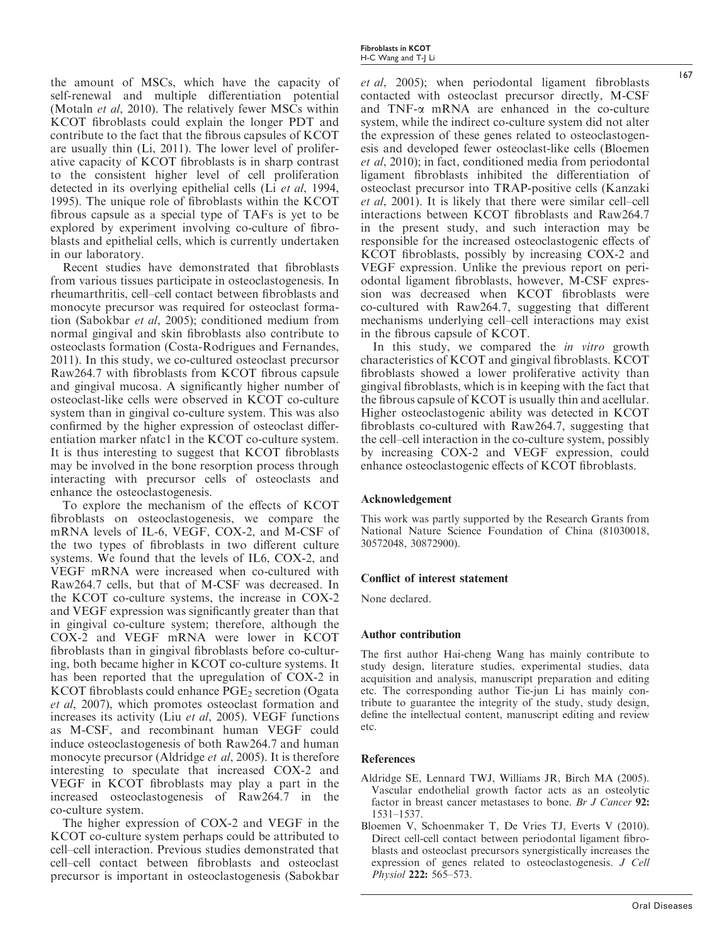the amount of MSCs, which have the capacity of self-renewal and multiple differentiation potential (Motaln et al, 2010). The relatively fewer MSCs within KCOT fibroblasts could explain the longer PDT and contribute to the fact that the fibrous capsules of KCOT are usually thin (Li, 2011). The lower level of proliferative capacity of KCOT fibroblasts is in sharp contrast to the consistent higher level of cell proliferation detected in its overlying epithelial cells (Li et al, 1994, 1995). The unique role of fibroblasts within the KCOT fibrous capsule as a special type of TAFs is yet to be explored by experiment involving co-culture of fibroblasts and epithelial cells, which is currently undertaken in our laboratory.

Recent studies have demonstrated that fibroblasts from various tissues participate in osteoclastogenesis. In rheumarthritis, cell–cell contact between fibroblasts and monocyte precursor was required for osteoclast formation (Sabokbar et al, 2005); conditioned medium from normal gingival and skin fibroblasts also contribute to osteoclasts formation (Costa-Rodrigues and Fernandes, 2011). In this study, we co-cultured osteoclast precursor Raw264.7 with fibroblasts from KCOT fibrous capsule and gingival mucosa. A significantly higher number of osteoclast-like cells were observed in KCOT co-culture system than in gingival co-culture system. This was also confirmed by the higher expression of osteoclast differentiation marker nfatc1 in the KCOT co-culture system. It is thus interesting to suggest that KCOT fibroblasts may be involved in the bone resorption process through interacting with precursor cells of osteoclasts and enhance the osteoclastogenesis.

To explore the mechanism of the effects of KCOT fibroblasts on osteoclastogenesis, we compare the mRNA levels of IL-6, VEGF, COX-2, and M-CSF of the two types of fibroblasts in two different culture systems. We found that the levels of IL6, COX-2, and VEGF mRNA were increased when co-cultured with Raw264.7 cells, but that of M-CSF was decreased. In the KCOT co-culture systems, the increase in COX-2 and VEGF expression was significantly greater than that in gingival co-culture system; therefore, although the COX-2 and VEGF mRNA were lower in KCOT fibroblasts than in gingival fibroblasts before co-culturing, both became higher in KCOT co-culture systems. It has been reported that the upregulation of COX-2 in KCOT fibroblasts could enhance  $PGE<sub>2</sub>$  secretion (Ogata et al, 2007), which promotes osteoclast formation and increases its activity (Liu et al, 2005). VEGF functions as M-CSF, and recombinant human VEGF could induce osteoclastogenesis of both Raw264.7 and human monocyte precursor (Aldridge et al, 2005). It is therefore interesting to speculate that increased COX-2 and VEGF in KCOT fibroblasts may play a part in the increased osteoclastogenesis of Raw264.7 in the co-culture system.

The higher expression of COX-2 and VEGF in the KCOT co-culture system perhaps could be attributed to cell–cell interaction. Previous studies demonstrated that cell–cell contact between fibroblasts and osteoclast precursor is important in osteoclastogenesis (Sabokbar Fibroblasts in KCOT H-C Wang and T-J Li

et al, 2005); when periodontal ligament fibroblasts contacted with osteoclast precursor directly, M-CSF and TNF-a mRNA are enhanced in the co-culture system, while the indirect co-culture system did not alter the expression of these genes related to osteoclastogenesis and developed fewer osteoclast-like cells (Bloemen et al, 2010); in fact, conditioned media from periodontal ligament fibroblasts inhibited the differentiation of osteoclast precursor into TRAP-positive cells (Kanzaki et al, 2001). It is likely that there were similar cell–cell interactions between KCOT fibroblasts and Raw264.7 in the present study, and such interaction may be responsible for the increased osteoclastogenic effects of KCOT fibroblasts, possibly by increasing COX-2 and VEGF expression. Unlike the previous report on periodontal ligament fibroblasts, however, M-CSF expression was decreased when KCOT fibroblasts were co-cultured with Raw264.7, suggesting that different mechanisms underlying cell–cell interactions may exist in the fibrous capsule of KCOT.

In this study, we compared the *in vitro* growth characteristics of KCOT and gingival fibroblasts. KCOT fibroblasts showed a lower proliferative activity than gingival fibroblasts, which is in keeping with the fact that the fibrous capsule of KCOT is usually thin and acellular. Higher osteoclastogenic ability was detected in KCOT fibroblasts co-cultured with Raw264.7, suggesting that the cell–cell interaction in the co-culture system, possibly by increasing COX-2 and VEGF expression, could enhance osteoclastogenic effects of KCOT fibroblasts.

### Acknowledgement

This work was partly supported by the Research Grants from National Nature Science Foundation of China (81030018, 30572048, 30872900).

# Conflict of interest statement

None declared.

### Author contribution

The first author Hai-cheng Wang has mainly contribute to study design, literature studies, experimental studies, data acquisition and analysis, manuscript preparation and editing etc. The corresponding author Tie-jun Li has mainly contribute to guarantee the integrity of the study, study design, define the intellectual content, manuscript editing and review etc.

### References

- Aldridge SE, Lennard TWJ, Williams JR, Birch MA (2005). Vascular endothelial growth factor acts as an osteolytic factor in breast cancer metastases to bone. Br J Cancer 92: 1531–1537.
- Bloemen V, Schoenmaker T, De Vries TJ, Everts V (2010). Direct cell-cell contact between periodontal ligament fibroblasts and osteoclast precursors synergistically increases the expression of genes related to osteoclastogenesis. J Cell Physiol 222: 565–573.